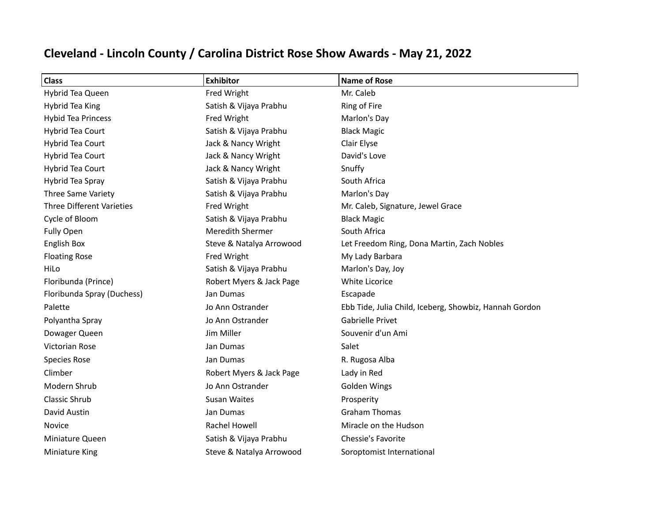| <b>Class</b>                     | <b>Exhibitor</b>         | <b>Name of Rose</b>                                    |
|----------------------------------|--------------------------|--------------------------------------------------------|
| Hybrid Tea Queen                 | Fred Wright              | Mr. Caleb                                              |
| Hybrid Tea King                  | Satish & Vijaya Prabhu   | Ring of Fire                                           |
| <b>Hybid Tea Princess</b>        | Fred Wright              | Marlon's Day                                           |
| Hybrid Tea Court                 | Satish & Vijaya Prabhu   | <b>Black Magic</b>                                     |
| Hybrid Tea Court                 | Jack & Nancy Wright      | Clair Elyse                                            |
| <b>Hybrid Tea Court</b>          | Jack & Nancy Wright      | David's Love                                           |
| Hybrid Tea Court                 | Jack & Nancy Wright      | Snuffy                                                 |
| Hybrid Tea Spray                 | Satish & Vijaya Prabhu   | South Africa                                           |
| Three Same Variety               | Satish & Vijaya Prabhu   | Marlon's Day                                           |
| <b>Three Different Varieties</b> | Fred Wright              | Mr. Caleb, Signature, Jewel Grace                      |
| Cycle of Bloom                   | Satish & Vijaya Prabhu   | <b>Black Magic</b>                                     |
| <b>Fully Open</b>                | <b>Meredith Shermer</b>  | South Africa                                           |
| <b>English Box</b>               | Steve & Natalya Arrowood | Let Freedom Ring, Dona Martin, Zach Nobles             |
| <b>Floating Rose</b>             | Fred Wright              | My Lady Barbara                                        |
| HiLo                             | Satish & Vijaya Prabhu   | Marlon's Day, Joy                                      |
| Floribunda (Prince)              | Robert Myers & Jack Page | White Licorice                                         |
| Floribunda Spray (Duchess)       | Jan Dumas                | Escapade                                               |
| Palette                          | Jo Ann Ostrander         | Ebb Tide, Julia Child, Iceberg, Showbiz, Hannah Gordon |
| Polyantha Spray                  | Jo Ann Ostrander         | <b>Gabrielle Privet</b>                                |
| Dowager Queen                    | Jim Miller               | Souvenir d'un Ami                                      |
| Victorian Rose                   | Jan Dumas                | Salet                                                  |
| <b>Species Rose</b>              | Jan Dumas                | R. Rugosa Alba                                         |
| Climber                          | Robert Myers & Jack Page | Lady in Red                                            |
| Modern Shrub                     | Jo Ann Ostrander         | Golden Wings                                           |
| <b>Classic Shrub</b>             | <b>Susan Waites</b>      | Prosperity                                             |
| David Austin                     | Jan Dumas                | <b>Graham Thomas</b>                                   |
| Novice                           | Rachel Howell            | Miracle on the Hudson                                  |
| Miniature Queen                  | Satish & Vijaya Prabhu   | Chessie's Favorite                                     |
| <b>Miniature King</b>            | Steve & Natalya Arrowood | Soroptomist International                              |

## **Cleveland - Lincoln County / Carolina District Rose Show Awards - May 21, 2022**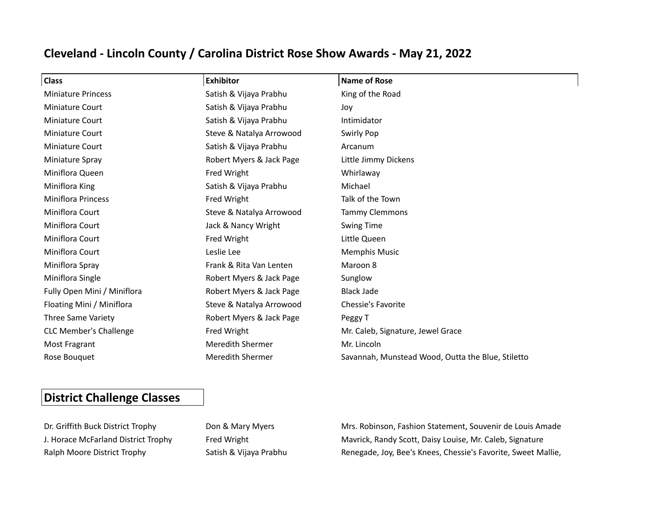## **Cleveland - Lincoln County / Carolina District Rose Show Awards - May 21, 2022**

| Class                         | <b>Exhibitor</b>         | <b>Name of Rose</b>                               |
|-------------------------------|--------------------------|---------------------------------------------------|
| <b>Miniature Princess</b>     | Satish & Vijaya Prabhu   | King of the Road                                  |
| Miniature Court               | Satish & Vijaya Prabhu   | Joy                                               |
| Miniature Court               | Satish & Vijaya Prabhu   | Intimidator                                       |
| <b>Miniature Court</b>        | Steve & Natalya Arrowood | Swirly Pop                                        |
| <b>Miniature Court</b>        | Satish & Vijaya Prabhu   | Arcanum                                           |
| Miniature Spray               | Robert Myers & Jack Page | Little Jimmy Dickens                              |
| Miniflora Queen               | Fred Wright              | Whirlaway                                         |
| Miniflora King                | Satish & Vijaya Prabhu   | Michael                                           |
| <b>Miniflora Princess</b>     | Fred Wright              | Talk of the Town                                  |
| Miniflora Court               | Steve & Natalya Arrowood | <b>Tammy Clemmons</b>                             |
| Miniflora Court               | Jack & Nancy Wright      | <b>Swing Time</b>                                 |
| Miniflora Court               | Fred Wright              | Little Queen                                      |
| Miniflora Court               | Leslie Lee               | <b>Memphis Music</b>                              |
| Miniflora Spray               | Frank & Rita Van Lenten  | Maroon 8                                          |
| Miniflora Single              | Robert Myers & Jack Page | Sunglow                                           |
| Fully Open Mini / Miniflora   | Robert Myers & Jack Page | <b>Black Jade</b>                                 |
| Floating Mini / Miniflora     | Steve & Natalya Arrowood | Chessie's Favorite                                |
| Three Same Variety            | Robert Myers & Jack Page | Peggy T                                           |
| <b>CLC Member's Challenge</b> | Fred Wright              | Mr. Caleb, Signature, Jewel Grace                 |
| Most Fragrant                 | <b>Meredith Shermer</b>  | Mr. Lincoln                                       |
| Rose Bouquet                  | <b>Meredith Shermer</b>  | Savannah, Munstead Wood, Outta the Blue, Stiletto |

## **District Challenge Classes**

Dr. Griffith Buck District Trophy Don & Mary Myers Mrs. Robinson, Fashion Statement, Souvenir de Louis Amade J. Horace McFarland District Trophy Fred Wright Maxrick, Randy Scott, Daisy Louise, Mr. Caleb, Signature Ralph Moore District Trophy Satish & Vijaya Prabhu Renegade, Joy, Bee's Knees, Chessie's Favorite, Sweet Mallie,